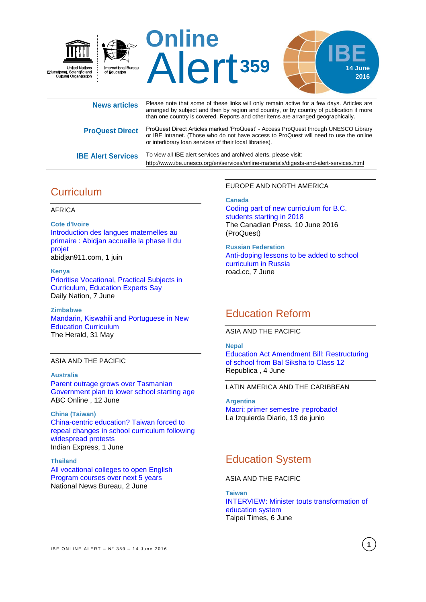

| <b>News articles</b>      | Please note that some of these links will only remain active for a few days. Articles are<br>arranged by subject and then by region and country, or by country of publication if more<br>than one country is covered. Reports and other items are arranged geographically. |
|---------------------------|----------------------------------------------------------------------------------------------------------------------------------------------------------------------------------------------------------------------------------------------------------------------------|
| <b>ProQuest Direct</b>    | ProQuest Direct Articles marked 'ProQuest' - Access ProQuest through UNESCO Library<br>or IBE Intranet. (Those who do not have access to ProQuest will need to use the online<br>or interlibrary loan services of their local libraries).                                  |
| <b>IBE Alert Services</b> | To view all IBE alert services and archived alerts, please visit:<br>http://www.ibe.unesco.org/en/services/online-materials/digests-and-alert-services.html                                                                                                                |

# **Curriculum**

### AFRICA

**Cote d'Ivoire** [Introduction des langues maternelles au](http://abidjan911.com/actualites/societe-culture/introduction-des-langues-maternelles-au-primaire-abidjan-accueille-la-phase-ii-du-projet-0940/)  [primaire : Abidjan accueille la phase II du](http://abidjan911.com/actualites/societe-culture/introduction-des-langues-maternelles-au-primaire-abidjan-accueille-la-phase-ii-du-projet-0940/)  [projet](http://abidjan911.com/actualites/societe-culture/introduction-des-langues-maternelles-au-primaire-abidjan-accueille-la-phase-ii-du-projet-0940/) abidjan911.com, 1 juin

**Kenya** [Prioritise Vocational, Practical Subjects in](http://allafrica.com/stories/201606071273.html)  [Curriculum, Education Experts Say](http://allafrica.com/stories/201606071273.html) Daily Nation, 7 June

**Zimbabwe** [Mandarin, Kiswahili and Portuguese in New](http://www.herald.co.zw/latest-mandarin-kiswahili-and-portuguese-in-new-education-curriculum/)  [Education Curriculum](http://www.herald.co.zw/latest-mandarin-kiswahili-and-portuguese-in-new-education-curriculum/) The Herald, 31 May

### ASIA AND THE PACIFIC

**Australia** [Parent outrage grows over Tasmanian](http://www.abc.net.au/news/2016-06-12/parent-outrage-grows-over-state-government-early-childhood-plan/7502536)  [Government plan to lower school starting age](http://www.abc.net.au/news/2016-06-12/parent-outrage-grows-over-state-government-early-childhood-plan/7502536) ABC Online , 12 June

**China (Taiwan)** [China-centric education? Taiwan forced to](http://indianexpress.com/article/world/world-news/china-centric-education-taiwan-forced-to-repeal-changes-in-school-curriculum-following-widespread-protests/)  [repeal changes in school curriculum following](http://indianexpress.com/article/world/world-news/china-centric-education-taiwan-forced-to-repeal-changes-in-school-curriculum-following-widespread-protests/)  [widespread protests](http://indianexpress.com/article/world/world-news/china-centric-education-taiwan-forced-to-repeal-changes-in-school-curriculum-following-widespread-protests/) Indian Express, 1 June

**Thailand** [All vocational colleges to open English](http://thainews.prd.go.th/CenterWeb/NewsEN/NewsDetail?NT01_NewsID=WNSOC5906020010110)  [Program courses over next 5 years](http://thainews.prd.go.th/CenterWeb/NewsEN/NewsDetail?NT01_NewsID=WNSOC5906020010110) National News Bureau, 2 June

EUROPE AND NORTH AMERICA

### **Canada**

[Coding part of new curriculum for B.C.](http://search.proquest.com/central/docview/1795778349/F73F7426A714160PQ/34?accountid=28966$)  [students starting in 2018](http://search.proquest.com/central/docview/1795778349/F73F7426A714160PQ/34?accountid=28966$) The Canadian Press, 10 June 2016 (ProQuest)

**Russian Federation** [Anti-doping lessons to be added to school](http://road.cc/content/news/192815-anti-doping-lessons-be-added-school-curriculum-russia)  [curriculum in Russia](http://road.cc/content/news/192815-anti-doping-lessons-be-added-school-curriculum-russia) road.cc, 7 June

# Education Reform

### ASIA AND THE PACIFIC

**Nepal** [Education Act Amendment Bill: Restructuring](http://myrepublica.com/feature-article/story/43701/education-act-amendment-bill-restructuring-of-school-from-bal-siksha-to-class-12.html)  [of school from Bal Siksha to Class 12](http://myrepublica.com/feature-article/story/43701/education-act-amendment-bill-restructuring-of-school-from-bal-siksha-to-class-12.html) Republica , 4 June

## LATIN AMERICA AND THE CARIBBEAN

**Argentina** [Macri: primer semestre ¡reprobado!](http://laizquierdadiario.com/Macri-primer-semestre-reprobado) La Izquierda Diario, 13 de junio

# Education System

ASIA AND THE PACIFIC

**Taiwan** [INTERVIEW: Minister touts transformation of](http://www.taipeitimes.com/News/taiwan/archives/2016/06/06/2003648006)  [education system](http://www.taipeitimes.com/News/taiwan/archives/2016/06/06/2003648006) Taipei Times, 6 June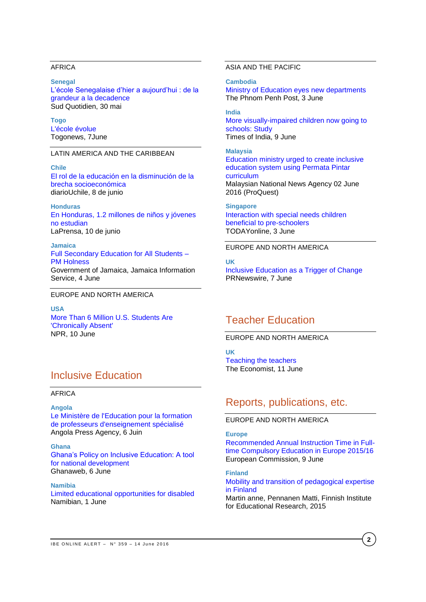## AFRICA

**Senegal** [L'école Senegalaise d'hier a aujourd'hui : de la](http://www.sudonline.sn/l-ecole-senegalaise-d-hier-a-aujourd-hui--de-la-grandeur-a-la-decadence_a_30045.html)  [grandeur a la decadence](http://www.sudonline.sn/l-ecole-senegalaise-d-hier-a-aujourd-hui--de-la-grandeur-a-la-decadence_a_30045.html) Sud Quotidien, 30 mai

**Togo** [L'école évolue](http://fr.allafrica.com/stories/201606080337.html) Togonews, 7June

### LATIN AMERICA AND THE CARIBBEAN

**Chile** [El rol de la educación en la disminución de la](http://radio.uchile.cl/2016/06/08/expertos-relevan-necesidad-de-una-solucion-integral-a-brecha-socioeconomica-en-educacion)  [brecha socioeconómica](http://radio.uchile.cl/2016/06/08/expertos-relevan-necesidad-de-una-solucion-integral-a-brecha-socioeconomica-en-educacion) diarioUchile, 8 de junio

**Honduras** [En Honduras, 1.2 millones de niños y jóvenes](http://www.laprensa.hn/honduras/968997-410/en-honduras-12-millones-de-ni%C3%B1os-y-j%C3%B3venes-no-estudian)  [no estudian](http://www.laprensa.hn/honduras/968997-410/en-honduras-12-millones-de-ni%C3%B1os-y-j%C3%B3venes-no-estudian) LaPrensa, 10 de junio

**Jamaica** [Full Secondary Education for All Students –](http://jis.gov.jm/full-secondary-education-students-pm-holness/) [PM Holness](http://jis.gov.jm/full-secondary-education-students-pm-holness/) Government of Jamaica, Jamaica Information Service, 4 June

### EUROPE AND NORTH AMERICA

**USA** [More Than 6 Million U.S. Students Are](http://www.npr.org/sections/ed/2016/06/10/480181439/more-than-6-million-u-s-students-are-chronically-absent)  ['Chronically Absent'](http://www.npr.org/sections/ed/2016/06/10/480181439/more-than-6-million-u-s-students-are-chronically-absent) NPR, 10 June

# Inclusive Education

#### AFRICA

**Angola** [Le Ministère de l'Education pour la formation](http://fr.allafrica.com/stories/201606060799.html)  [de professeurs d'enseignement spécialisé](http://fr.allafrica.com/stories/201606060799.html)

Angola Press Agency, 6 Juin

**Ghana** [Ghana's Policy on Inclusive Education: A tool](http://www.ghanaweb.com/GhanaHomePage/features/Ghana-s-Policy-on-Inclusive-Education-A-tool-for-national-development-444807)  [for national development](http://www.ghanaweb.com/GhanaHomePage/features/Ghana-s-Policy-on-Inclusive-Education-A-tool-for-national-development-444807) Ghanaweb, 6 June

**Namibia** [Limited educational opportunities for disabled](http://www.namibian.com.na/Limited-educational-opportunities-for-disabled/41144/read) Namibian, 1 June

## ASIA AND THE PACIFIC

**Cambodia** [Ministry of Education eyes new departments](http://www.phnompenhpost.com/national/ministry-education-eyes-new-departments) The Phnom Penh Post, 3 June

**India** [More visually-impaired children now going to](http://timesofindia.indiatimes.com/india/More-visually-impaired-children-now-going-to-schools-Study/articleshow/52663691.cms)  [schools: Study](http://timesofindia.indiatimes.com/india/More-visually-impaired-children-now-going-to-schools-Study/articleshow/52663691.cms) Times of India, 9 June

**Malaysia** [Education ministry urged to create inclusive](http://search.proquest.com/central/docview/1793470406/CB052E205D1A4601PQ/49?accountid=28966)  [education system using Permata Pintar](http://search.proquest.com/central/docview/1793470406/CB052E205D1A4601PQ/49?accountid=28966)  [curriculum](http://search.proquest.com/central/docview/1793470406/CB052E205D1A4601PQ/49?accountid=28966) Malaysian National News Agency 02 June 2016 (ProQuest)

**Singapore** [Interaction with special needs children](http://www.todayonline.com/singapore/interaction-special-needs-children-beneficial-pre-schoolers)  [beneficial to pre-schoolers](http://www.todayonline.com/singapore/interaction-special-needs-children-beneficial-pre-schoolers) TODAYonline, 3 June

EUROPE AND NORTH AMERICA

**UK** [Inclusive Education as a Trigger of Change](http://www.prnewswire.co.uk/news-releases/inclusive-education-as-a-trigger-of-change-582066311.html) PRNewswire, 7 June

# Teacher Education

EUROPE AND NORTH AMERICA

**UK** [Teaching the teachers](http://www.economist.com/news/briefing/21700385-great-teaching-has-long-been-seen-innate-skill-reformers-are-showing-best) The Economist, 11 June

# Reports, publications, etc.

## EUROPE AND NORTH AMERICA

### **Europe**

[Recommended Annual Instruction Time in Full](https://webgate.ec.europa.eu/fpfis/mwikis/eurydice/index.php/Publications:Recommended_Annual_Instruction_Time_in_Full-time_Compulsory_Education_in_Europe_2015/16)[time Compulsory Education in Europe 2015/16](https://webgate.ec.europa.eu/fpfis/mwikis/eurydice/index.php/Publications:Recommended_Annual_Instruction_Time_in_Full-time_Compulsory_Education_in_Europe_2015/16) European Commission, 9 June

**Finland** [Mobility and transition of pedagogical expertise](https://ktl.jyu.fi/julkaisut/julkaisuluettelo/julkaisut/2015/g051.pdf)  [in Finland](https://ktl.jyu.fi/julkaisut/julkaisuluettelo/julkaisut/2015/g051.pdf) Martin anne, Pennanen Matti, Finnish Institute for Educational Research, 2015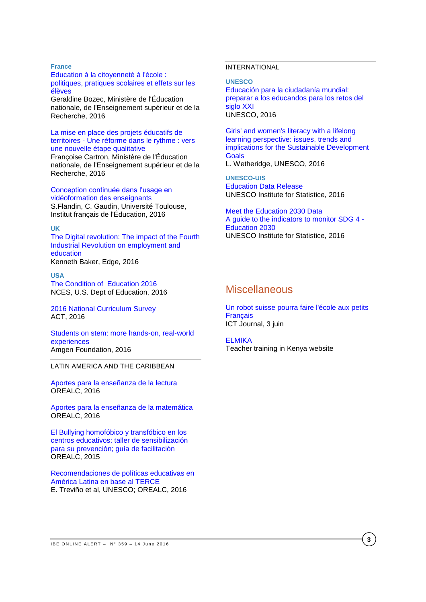### **France**

### [Education à la citoyenneté à l'école :](http://www.ladocumentationfrancaise.fr/var/storage/rapports-publics/164000299.pdf)  [politiques, pratiques scolaires et effets sur les](http://www.ladocumentationfrancaise.fr/var/storage/rapports-publics/164000299.pdf)  [élèves](http://www.ladocumentationfrancaise.fr/var/storage/rapports-publics/164000299.pdf)

Geraldine Bozec, Ministère de l'Éducation nationale, de l'Enseignement supérieur et de la Recherche, 2016

### [La mise en place des projets éducatifs de](http://www.ladocumentationfrancaise.fr/var/storage/rapports-publics/164000316.pdf)  territoires - [Une réforme dans le rythme : vers](http://www.ladocumentationfrancaise.fr/var/storage/rapports-publics/164000316.pdf)  [une nouvelle étape qualitative](http://www.ladocumentationfrancaise.fr/var/storage/rapports-publics/164000316.pdf)

Françoise Cartron, Ministère de l'Éducation nationale, de l'Enseignement supérieur et de la Recherche, 2016

#### [Conception continuée dans l'usage en](https://hal.archives-ouvertes.fr/hal-01319618/document)  [vidéoformation des](https://hal.archives-ouvertes.fr/hal-01319618/document) enseignants

S.Flandin, C. Gaudin, Université Toulouse, Institut français de l'Éducation, 2016

### **UK**

[The Digital revolution: The impact of the Fourth](http://www.edge.co.uk/media/193777/digital_revolution_web_version.pdf)  [Industrial Revolution on employment and](http://www.edge.co.uk/media/193777/digital_revolution_web_version.pdf)  [education](http://www.edge.co.uk/media/193777/digital_revolution_web_version.pdf) Kenneth Baker, Edge, 2016

### **USA** [The Condition of Education 2016](http://nces.ed.gov/pubs2016/2016144.pdf) NCES, U.S. Dept of Education, 2016

[2016 National Curriculum Survey](http://www.act.org/content/act/en/research/national-curriculum-survey.html) ACT, 2016

[Students on stem: more hands-on, real-world](http://changetheequation.org/sites/default/files/CTEq%20Amgen%20Brief_FINAL.pdf)  [experiences](http://changetheequation.org/sites/default/files/CTEq%20Amgen%20Brief_FINAL.pdf) Amgen Foundation, 2016

## LATIN AMERICA AND THE CARIBBEAN

[Aportes para la enseñanza de la lectura](http://unesdoc.unesco.org/images/0024/002448/244874s.pdf) OREALC, 2016

[Aportes para la enseñanza de la matemática](http://unesdoc.unesco.org/images/0024/002448/244855s.pdf) OREALC, 2016

[El Bullying homofóbico y transfóbico en los](http://unesdoc.unesco.org/images/0024/002448/244841s.pdf)  [centros educativos: taller de sensibilización](http://unesdoc.unesco.org/images/0024/002448/244841s.pdf)  [para su prevención; guía de facilitación](http://unesdoc.unesco.org/images/0024/002448/244841s.pdf) OREALC, 2015

[Recomendaciones de políticas educativas en](http://unesdoc.unesco.org/images/0024/002449/244976s.pdf)  [América Latina en base al TERCE](http://unesdoc.unesco.org/images/0024/002449/244976s.pdf) E. Treviño et al, UNESCO; OREALC, 2016

## INTERNATIONAL

**UNESCO**

Educación para [la ciudadanía mundial:](http://unesdoc.unesco.org/images/0024/002449/244957s.pdf)  [preparar a los educandos para los retos del](http://unesdoc.unesco.org/images/0024/002449/244957s.pdf)  [siglo XXI](http://unesdoc.unesco.org/images/0024/002449/244957s.pdf) UNESCO, 2016

[Girls' and women's literacy with a lifelong](http://unesdoc.unesco.org/images/0024/002449/244959e.pdf)  [learning perspective: issues, trends and](http://unesdoc.unesco.org/images/0024/002449/244959e.pdf)  [implications for the Sustainable Development](http://unesdoc.unesco.org/images/0024/002449/244959e.pdf)  **[Goals](http://unesdoc.unesco.org/images/0024/002449/244959e.pdf)** L. Wetheridge, UNESCO, 2016

**UNESCO-UIS** [Education Data Release](http://www.uis.unesco.org/Education/Pages/data-release-june-2016.aspx)  UNESCO Institute for Statistice, 2016

[Meet the Education 2030 Data](http://www.uis.unesco.org/Education/Pages/meet-education-2030-data.aspx)  [A guide to the indicators to monitor SDG 4 -](http://www.uis.unesco.org/Education/Pages/meet-education-2030-data.aspx) [Education 2030](http://www.uis.unesco.org/Education/Pages/meet-education-2030-data.aspx) UNESCO Institute for Statistice, 2016

# **Miscellaneous**

[Un robot suisse pourra faire l'école aux petits](http://www.ictjournal.ch/fr-CH/News/2016/06/03/Un-robot-suisse-pourra-faire-lecole-aux-petits-Franais.aspx)  **[Français](http://www.ictjournal.ch/fr-CH/News/2016/06/03/Un-robot-suisse-pourra-faire-lecole-aux-petits-Franais.aspx)** ICT Journal, 3 juin

[ELMIKA](http://elimika.ac.ke/) Teacher training in Kenya website